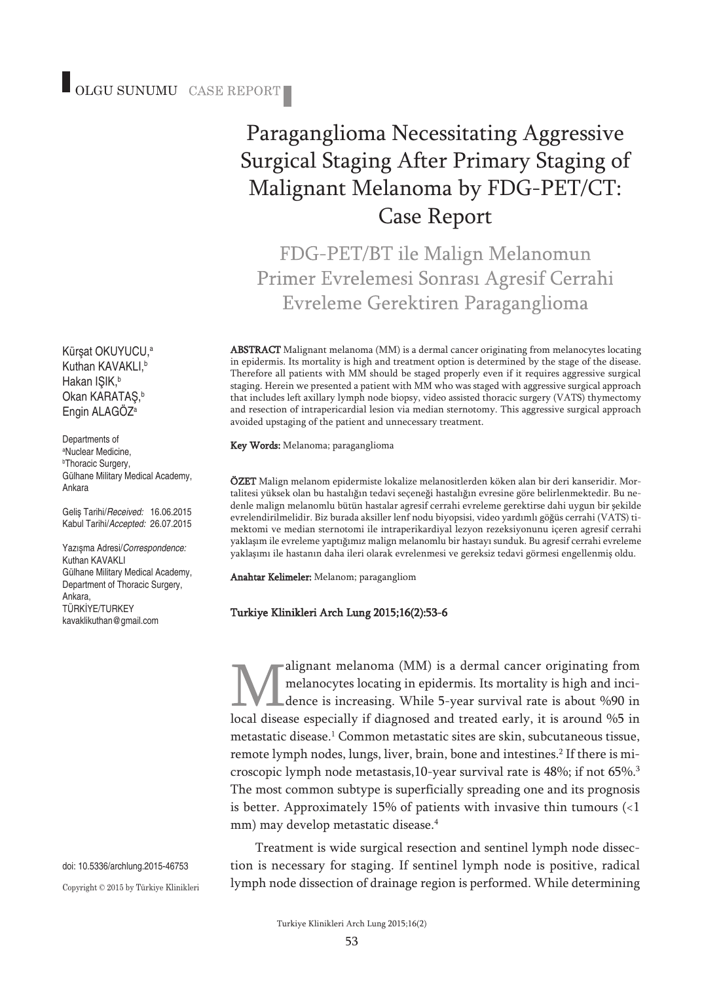Kürşat OKUYUCU, a Kuthan KAVAKLI, b Hakan IŞIK, b Okan KARATAŞ, b Engin ALAGÖZ<sup>a</sup>

Departments of a Nuclear Medicine, b Thoracic Surgery, Gülhane Military Medical Academy, Ankara

Geliş Tarihi/*Received:* 16.06.2015 Kabul Tarihi/*Accepted:* 26.07.2015

Yazışma Adresi/*Correspondence:* Kuthan KAVAKLI Gülhane Military Medical Academy, Department of Thoracic Surgery, Ankara, TÜRKİYE/TURKEY kavaklikuthan@gmail.com

doi: 10.5336/archlung.2015-46753 Copyright © 2015 by Türkiye Klinikleri

# Paraganglioma Necessitating Aggressive Surgical Staging After Primary Staging of Malignant Melanoma by FDG-PET/CT: Case Report

FDG-PET/BT ile Malign Melanomun Primer Evrelemesi Sonrası Agresif Cerrahi Evreleme Gerektiren Paraganglioma

ABSTRACT Malignant melanoma (MM) is a dermal cancer originating from melanocytes locating in epidermis. Its mortality is high and treatment option is determined by the stage of the disease. Therefore all patients with MM should be staged properly even if it requires aggressive surgical staging. Herein we presented a patient with MM who was staged with aggressive surgical approach that includes left axillary lymph node biopsy, video assisted thoracic surgery (VATS) thymectomy and resection of intrapericardial lesion via median sternotomy. This aggressive surgical approach avoided upstaging of the patient and unnecessary treatment.

Key Words: Melanoma; paraganglioma

ÖZET Malign melanom epidermiste lokalize melanositlerden köken alan bir deri kanseridir. Mortalitesi yüksek olan bu hastalığın tedavi seçeneği hastalığın evresine göre belirlenmektedir. Bu nedenle malign melanomlu bütün hastalar agresif cerrahi evreleme gerektirse dahi uygun bir şekilde evrelendirilmelidir. Biz burada aksiller lenf nodu biyopsisi, video yardımlı göğüs cerrahi (VATS) timektomi ve median sternotomi ile intraperikardiyal lezyon rezeksiyonunu içeren agresif cerrahi yaklaşım ile evreleme yaptığımız malign melanomlu bir hastayı sunduk. Bu agresif cerrahi evreleme yaklaşımı ile hastanın daha ileri olarak evrelenmesi ve gereksiz tedavi görmesi engellenmiş oldu.

Anahtar Kelimeler: Melanom; paragangliom

#### Turkiye Klinikleri Arch Lung 2015;16(2):53-6

alignant melanoma (MM) is a dermal cancer originating from melanocytes locating in epidermis. Its mortality is high and incidence is increasing. While 5-year survival rate is about %90 in local disease especially if diagnosed and treated early, it is around %5 in metastatic disease. <sup>1</sup> Common metastatic sites are skin, subcutaneous tissue, remote lymph nodes, lungs, liver, brain, bone and intestines. <sup>2</sup> If there is microscopic lymph node metastasis,10-year survival rate is 48%; if not 65%. 3 The most common subtype is superficially spreading one and its prognosis is better. Approximately 15% of patients with invasive thin tumours  $\langle$ <1 mm) may develop metastatic disease. 4

Treatment is wide surgical resection and sentinel lymph node dissection is necessary for staging. If sentinel lymph node is positive, radical lymph node dissection of drainage region is performed. While determining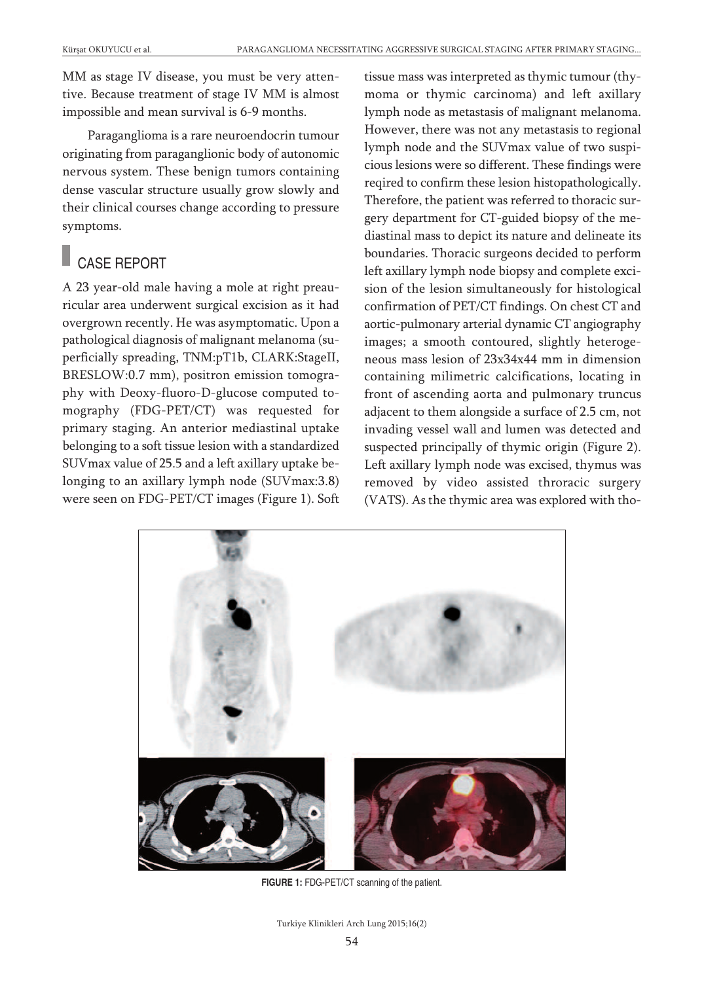MM as stage IV disease, you must be very attentive. Because treatment of stage IV MM is almost impossible and mean survival is 6-9 months.

Paraganglioma is a rare neuroendocrin tumour originating from paraganglionic body of autonomic nervous system. These benign tumors containing dense vascular structure usually grow slowly and their clinical courses change according to pressure symptoms.

# CASE REPORT

A 23 year-old male having a mole at right preauricular area underwent surgical excision as it had overgrown recently. He was asymptomatic. Upon a pathological diagnosis of malignant melanoma (superficially spreading, TNM:pT1b, CLARK:StageII, BRESLOW:0.7 mm), positron emission tomography with Deoxy-fluoro-D-glucose computed tomography (FDG-PET/CT) was requested for primary staging. An anterior mediastinal uptake belonging to a soft tissue lesion with a standardized SUVmax value of 25.5 and a left axillary uptake belonging to an axillary lymph node (SUVmax:3.8) were seen on FDG-PET/CT images (Figure 1). Soft tissue mass was interpreted as thymic tumour (thymoma or thymic carcinoma) and left axillary lymph node as metastasis of malignant melanoma. However, there was not any metastasis to regional lymph node and the SUVmax value of two suspicious lesions were so different. These findings were reqired to confirm these lesion histopathologically. Therefore, the patient was referred to thoracic surgery department for CT-guided biopsy of the mediastinal mass to depict its nature and delineate its boundaries. Thoracic surgeons decided to perform left axillary lymph node biopsy and complete excision of the lesion simultaneously for histological confirmation of PET/CT findings. On chest CT and aortic-pulmonary arterial dynamic CT angiography images; a smooth contoured, slightly heterogeneous mass lesion of 23x34x44 mm in dimension containing milimetric calcifications, locating in front of ascending aorta and pulmonary truncus adjacent to them alongside a surface of 2.5 cm, not invading vessel wall and lumen was detected and suspected principally of thymic origin (Figure 2). Left axillary lymph node was excised, thymus was removed by video assisted throracic surgery (VATS). As the thymic area was explored with tho-



**FIGURE 1:** FDG-PET/CT scanning of the patient.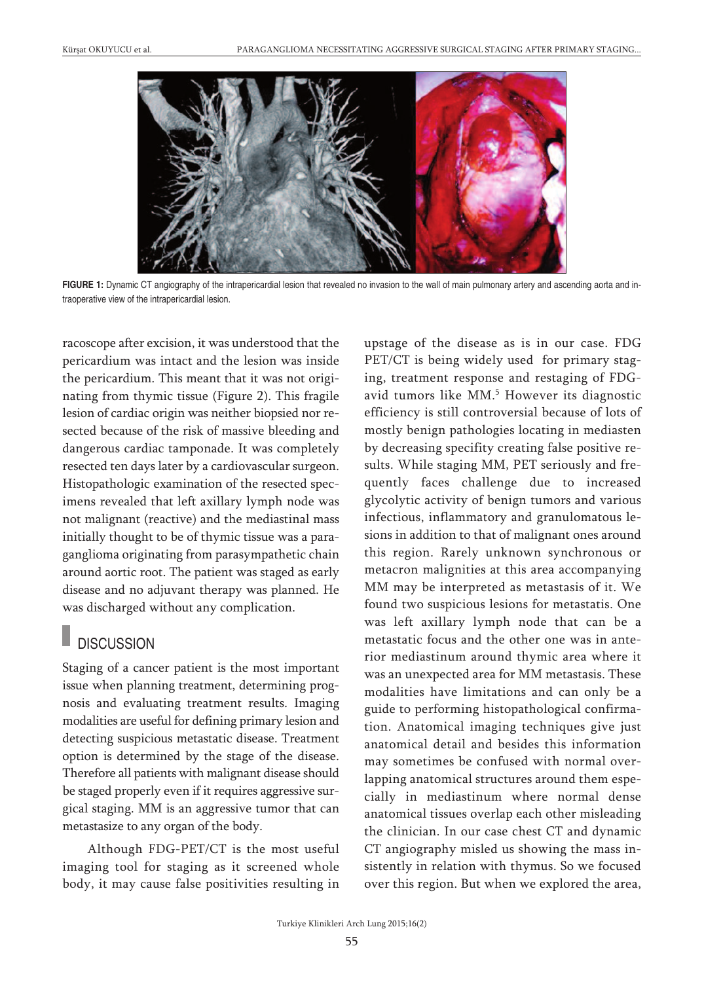

**FIGURE 1:** Dynamic CT angiography of the intrapericardial lesion that revealed no invasion to the wall of main pulmonary artery and ascending aorta and intraoperative view of the intrapericardial lesion.

racoscope after excision, it was understood that the pericardium was intact and the lesion was inside the pericardium. This meant that it was not originating from thymic tissue (Figure 2). This fragile lesion of cardiac origin was neither biopsied nor resected because of the risk of massive bleeding and dangerous cardiac tamponade. It was completely resected ten days later by a cardiovascular surgeon. Histopathologic examination of the resected specimens revealed that left axillary lymph node was not malignant (reactive) and the mediastinal mass initially thought to be of thymic tissue was a paraganglioma originating from parasympathetic chain around aortic root. The patient was staged as early disease and no adjuvant therapy was planned. He was discharged without any complication.

## **DISCUSSION**

Staging of a cancer patient is the most important issue when planning treatment, determining prognosis and evaluating treatment results. Imaging modalities are useful for defining primary lesion and detecting suspicious metastatic disease. Treatment option is determined by the stage of the disease. Therefore all patients with malignant disease should be staged properly even if it requires aggressive surgical staging. MM is an aggressive tumor that can metastasize to any organ of the body.

Although FDG-PET/CT is the most useful imaging tool for staging as it screened whole body, it may cause false positivities resulting in upstage of the disease as is in our case. FDG PET/CT is being widely used for primary staging, treatment response and restaging of FDGavid tumors like MM. <sup>5</sup> However its diagnostic efficiency is still controversial because of lots of mostly benign pathologies locating in mediasten by decreasing specifity creating false positive results. While staging MM, PET seriously and frequently faces challenge due to increased glycolytic activity of benign tumors and various infectious, inflammatory and granulomatous lesions in addition to that of malignant ones around this region. Rarely unknown synchronous or metacron malignities at this area accompanying MM may be interpreted as metastasis of it. We found two suspicious lesions for metastatis. One was left axillary lymph node that can be a metastatic focus and the other one was in anterior mediastinum around thymic area where it was an unexpected area for MM metastasis. These modalities have limitations and can only be a guide to performing histopathological confirmation. Anatomical imaging techniques give just anatomical detail and besides this information may sometimes be confused with normal overlapping anatomical structures around them especially in mediastinum where normal dense anatomical tissues overlap each other misleading the clinician. In our case chest CT and dynamic CT angiography misled us showing the mass insistently in relation with thymus. So we focused over this region. But when we explored the area,